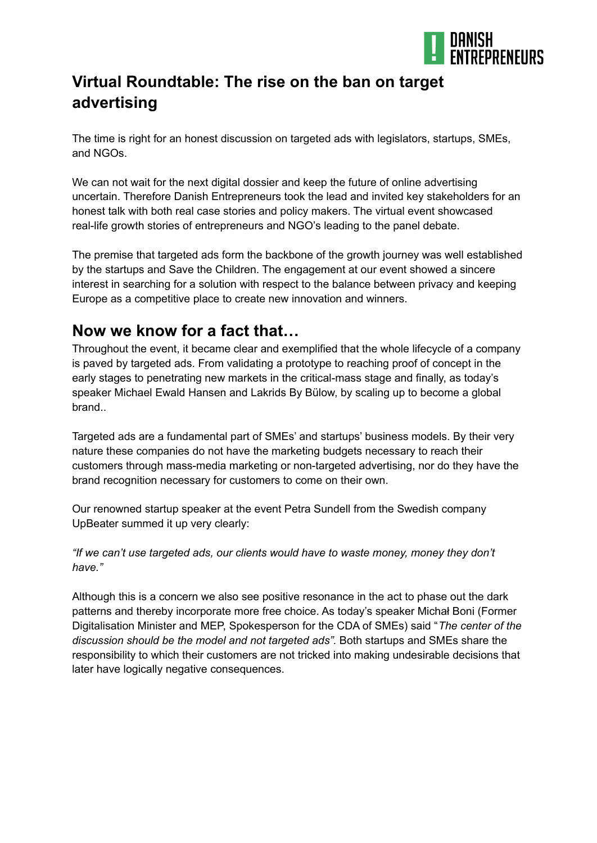

## **Virtual Roundtable: The rise on the ban on target advertising**

The time is right for an honest discussion on targeted ads with legislators, startups, SMEs, and NGOs.

We can not wait for the next digital dossier and keep the future of online advertising uncertain. Therefore Danish Entrepreneurs took the lead and invited key stakeholders for an honest talk with both real case stories and policy makers. The virtual event showcased real-life growth stories of entrepreneurs and NGO's leading to the panel debate.

The premise that targeted ads form the backbone of the growth journey was well established by the startups and Save the Children. The engagement at our event showed a sincere interest in searching for a solution with respect to the balance between privacy and keeping Europe as a competitive place to create new innovation and winners.

## **Now we know for a fact that…**

Throughout the event, it became clear and exemplified that the whole lifecycle of a company is paved by targeted ads. From validating a prototype to reaching proof of concept in the early stages to penetrating new markets in the critical-mass stage and finally, as today's speaker Michael Ewald Hansen and Lakrids By Bülow, by scaling up to become a global brand..

Targeted ads are a fundamental part of SMEs' and startups' business models. By their very nature these companies do not have the marketing budgets necessary to reach their customers through mass-media marketing or non-targeted advertising, nor do they have the brand recognition necessary for customers to come on their own.

Our renowned startup speaker at the event Petra Sundell from the Swedish company UpBeater summed it up very clearly:

*"If we can't use targeted ads, our clients would have to waste money, money they don't have."*

Although this is a concern we also see positive resonance in the act to phase out the dark patterns and thereby incorporate more free choice. As today's speaker Michał Boni (Former Digitalisation Minister and MEP, Spokesperson for the CDA of SMEs) said "*The center of the discussion should be the model and not targeted ads".* Both startups and SMEs share the responsibility to which their customers are not tricked into making undesirable decisions that later have logically negative consequences.